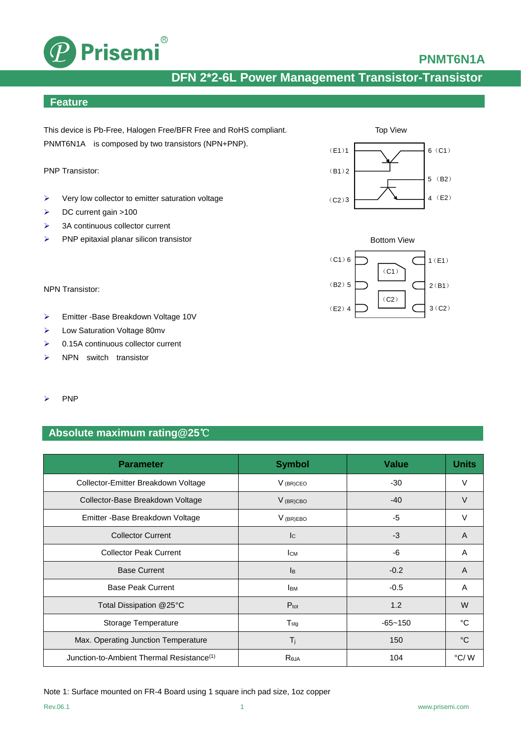

### **PNMT6N1A**

# **DFN 2\*2-6L Power Management Transistor-Transistor**

#### **Feature**

This device is Pb-Free, Halogen Free/BFR Free and RoHS compliant. PNMT6N1A is composed by two transistors (NPN+PNP).

PNP Transistor:

- $\triangleright$  Very low collector to emitter saturation voltage
- DC current gain >100
- $\geq$  3A continuous collector current
- $\triangleright$  PNP epitaxial planar silicon transistor



- Emitter -Base Breakdown Voltage 10V
- Low Saturation Voltage 80mv
- $\geq 0.15A$  continuous collector current
- $\triangleright$  NPN switch transistor
- $\triangleright$  PNP

#### **Absolute maximum rating@25**℃

| <b>Parameter</b>                                      | <b>Symbol</b>             | <b>Value</b> | <b>Units</b>    |
|-------------------------------------------------------|---------------------------|--------------|-----------------|
| Collector-Emitter Breakdown Voltage                   | $V_{(BR)CEO}$             | $-30$        | V               |
| Collector-Base Breakdown Voltage                      | $V$ (BR)CBO               | $-40$        | $\vee$          |
| Emitter - Base Breakdown Voltage                      | $V$ (BR)EBO               | $-5$         | V               |
| <b>Collector Current</b>                              | c                         | $-3$         | A               |
| <b>Collector Peak Current</b>                         | Iсм                       | -6           | A               |
| <b>Base Current</b>                                   | $\mathsf{I}_{\mathsf{B}}$ | $-0.2$       | A               |
| <b>Base Peak Current</b>                              | <b>I</b> BM               | $-0.5$       | A               |
| Total Dissipation @25°C                               | $P_{\text{tot}}$          | 1.2          | W               |
| Storage Temperature                                   | $T_{\text{stg}}$          | $-65 - 150$  | °C              |
| Max. Operating Junction Temperature                   | $T_{j}$                   | 150          | $\rm ^{\circ}C$ |
| Junction-to-Ambient Thermal Resistance <sup>(1)</sup> | Reja                      | 104          | $\degree$ C/W   |





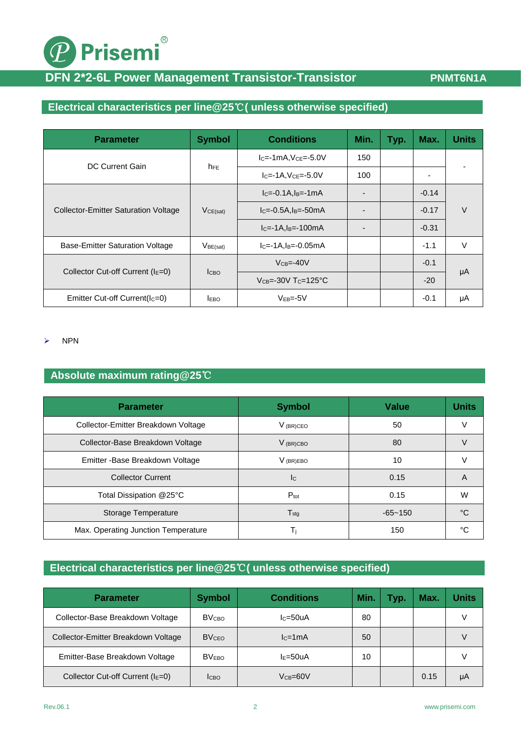# <sup>®</sup> Prisemi

# **DFN 2\*2-6L Power Management Transistor-Transistor <b>PNMT6N1A**

### **Electrical characteristics per line@25**℃**( unless otherwise specified)**

| <b>Parameter</b>                            | <b>Symbol</b>        | <b>Conditions</b>                                | Min. | Typ. | Max.    | <b>Units</b> |
|---------------------------------------------|----------------------|--------------------------------------------------|------|------|---------|--------------|
|                                             | $h_{FE}$             | $IC=-1mA, VCE=-5.0V$                             | 150  |      |         |              |
| DC Current Gain                             |                      | $IC=-1A, VCE=-5.0V$                              | 100  |      | ۰       |              |
| <b>Collector-Emitter Saturation Voltage</b> | VCE(sat)             | $IC=-0.1A, IB=-1mA$                              |      |      | $-0.14$ | V            |
|                                             |                      | $IC=-0.5A, IB=-50mA$                             |      |      | $-0.17$ |              |
|                                             |                      | $IC=-1A,IB=-100mA$                               |      |      | $-0.31$ |              |
| Base-Emitter Saturation Voltage             | V <sub>BE(sat)</sub> | $IC=-1A,IB=-0.05mA$                              |      |      | $-1.1$  | V            |
| Collector Cut-off Current ( $IE=0$ )        | <b>I</b> CBO         | $VCB=-40V$                                       |      |      | $-0.1$  |              |
|                                             |                      | $V_{CB} = -30V$ T <sub>C</sub> $= 125^{\circ}$ C |      |      | $-20$   | μA           |
| Emitter Cut-off Current(Ic=0)               | <b>EBO</b>           | $VEB=-5V$                                        |      |      | $-0.1$  | μA           |

 $\triangleright$  NPN

#### **Absolute maximum rating@25**℃

| <b>Parameter</b>                    | <b>Symbol</b>               | <b>Value</b> | <b>Units</b> |
|-------------------------------------|-----------------------------|--------------|--------------|
| Collector-Emitter Breakdown Voltage | $V_{(BR)CEO}$               | 50           |              |
| Collector-Base Breakdown Voltage    | V (BR)CBO                   | 80           |              |
| Emitter - Base Breakdown Voltage    | $V_{(BR)EBO}$               | 10           |              |
| <b>Collector Current</b>            | <b>I</b> C                  | 0.15         | A            |
| Total Dissipation @25°C             | $P_{\text{tot}}$            | 0.15         | W            |
| Storage Temperature                 | $\mathsf{T}_{\mathsf{stq}}$ | $-65 - 150$  | °C           |
| Max. Operating Junction Temperature | Τi                          | 150          | °C           |

### **Electrical characteristics per line@25**℃**( unless otherwise specified)**

| <b>Parameter</b>                     | <b>Symbol</b>           | <b>Conditions</b>       | <b>Min</b> | Typ. | Max. | <b>Units</b> |
|--------------------------------------|-------------------------|-------------------------|------------|------|------|--------------|
| Collector-Base Breakdown Voltage     | <b>BV<sub>CBO</sub></b> | $lc = 50uA$             | 80         |      |      |              |
| Collector-Emitter Breakdown Voltage  | <b>BVCEO</b>            | $lc=1mA$                | 50         |      |      |              |
| Emitter-Base Breakdown Voltage       | <b>BVEBO</b>            | $I = 50uA$              | 10         |      |      |              |
| Collector Cut-off Current ( $IE=0$ ) | Ісво                    | $V$ $_{\rm CB}$ =60 $V$ |            |      | 0.15 | μA           |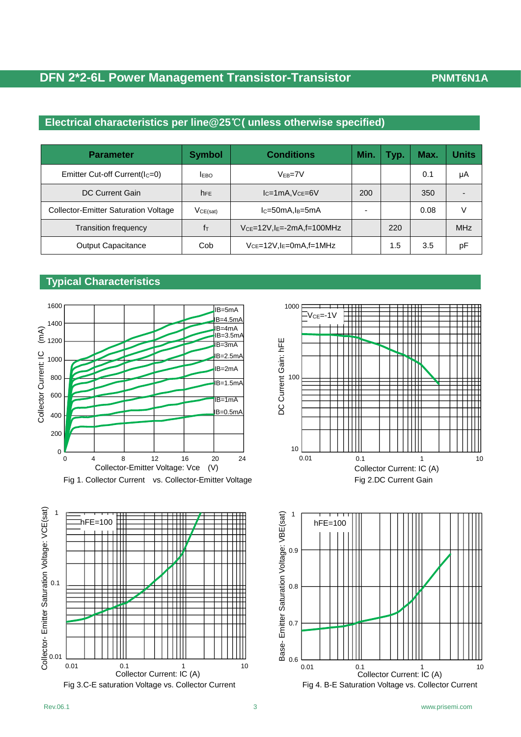### **DFN 2\*2-6L Power Management Transistor-Transistor PNMT6N1A**

### **Electrical characteristics per line@25**℃**( unless otherwise specified)**

| <b>Parameter</b>                            | <b>Symbol</b> | <b>Conditions</b>                          | Min | Typ. | Max. | <b>Units</b> |
|---------------------------------------------|---------------|--------------------------------------------|-----|------|------|--------------|
| Emitter Cut-off Current( $IC=0$ )           | <b>IEBO</b>   | $V_{FB} = 7V$                              |     |      | 0.1  | μA           |
| DC Current Gain                             | <b>NFE</b>    | $lc=1mA$ , $Vce=6V$                        | 200 |      | 350  |              |
| <b>Collector-Emitter Saturation Voltage</b> | VCE(sat)      | $lc = 50mA$ , $ls = 5mA$                   |     |      | 0.08 |              |
| <b>Transition frequency</b>                 | İт            | $V_{CE}$ =12V,l $E$ =-2mA,f=100MHz         |     | 220  |      | <b>MHz</b>   |
| <b>Output Capacitance</b>                   | Cob           | $V_{CE}$ =12V, I <sub>E</sub> =0mA, f=1MHz |     | 1.5  | 3.5  | pF           |

#### **Typical Characteristics**







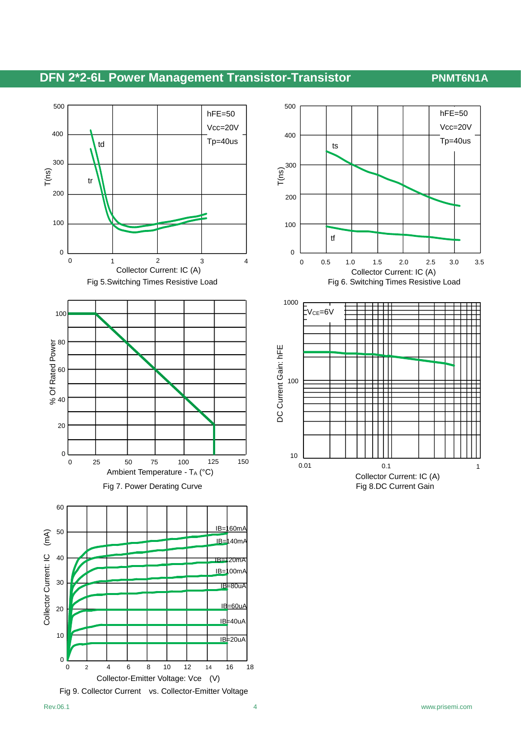# **DFN 2\*2-6L Power Management Transistor-Transistor <b>PNMT6N1A**





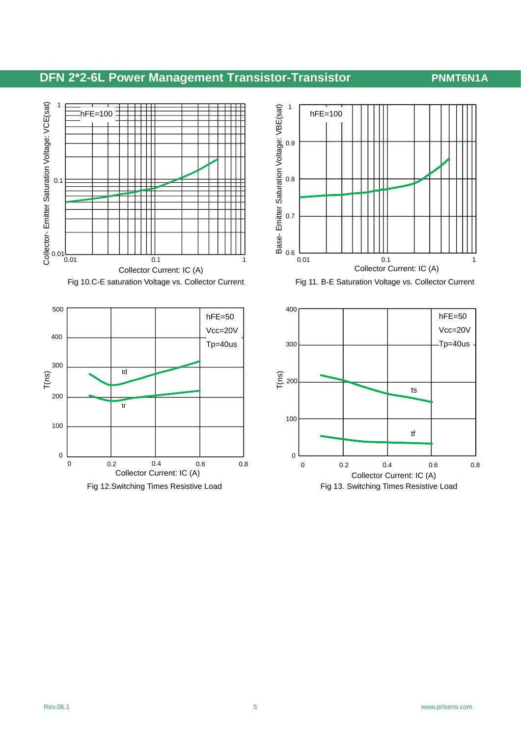# **DFN 2\*2-6L Power Management Transistor-Transistor PNMT6N1A**











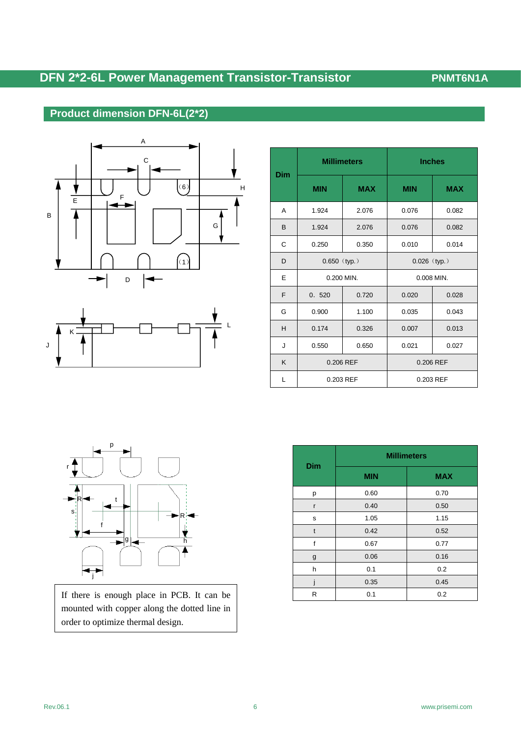# **DFN 2\*2-6L Power Management Transistor-Transistor <b>PNMT6N1A**

### **Product dimension DFN-6L(2\*2)**





|     | <b>Millimeters</b> |            | <b>Inches</b>  |            |  |
|-----|--------------------|------------|----------------|------------|--|
| Dim | <b>MIN</b>         | <b>MAX</b> | <b>MIN</b>     | <b>MAX</b> |  |
| A   | 1.924              | 2.076      | 0.076          | 0.082      |  |
| B   | 1.924              | 2.076      | 0.076          | 0.082      |  |
| C   | 0.250              | 0.350      | 0.010          | 0.014      |  |
| D   | $0.650$ (typ.)     |            | $0.026$ (typ.) |            |  |
| E   | 0.200 MIN.         |            | 0.008 MIN.     |            |  |
| F   | 0.720<br>0.520     |            | 0.020          | 0.028      |  |
| G   | 0.900              | 1.100      | 0.035          | 0.043      |  |
| H   | 0.174<br>0.326     |            | 0.007          | 0.013      |  |
| J   | 0.550<br>0.650     |            | 0.021<br>0.027 |            |  |
| K   | 0.206 REF          |            | 0.206 REF      |            |  |
| L   | 0.203 REF          |            | 0.203 REF      |            |  |



If there is enough place in PCB. It can be mounted with copper along the dotted line in order to optimize thermal design.

| <b>Dim</b>   | <b>Millimeters</b> |            |  |  |
|--------------|--------------------|------------|--|--|
|              | <b>MIN</b>         | <b>MAX</b> |  |  |
| р            | 0.60               | 0.70       |  |  |
| r            | 0.40               | 0.50       |  |  |
| s            | 1.05               | 1.15       |  |  |
| $\mathsf{t}$ | 0.42               | 0.52       |  |  |
| f            | 0.67               | 0.77       |  |  |
| g            | 0.06               | 0.16       |  |  |
| h            | 0.1                | 0.2        |  |  |
|              | 0.35               | 0.45       |  |  |
| R            | 0.1                | 0.2        |  |  |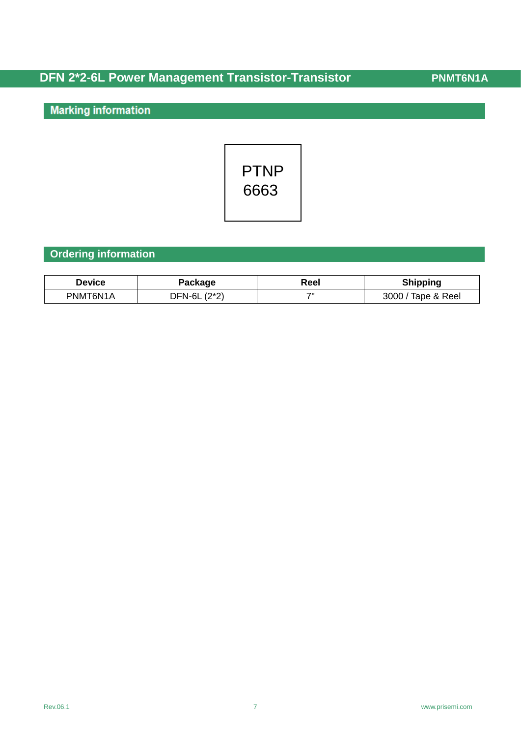# **DFN 2\*2-6L Power Management Transistor-Transistor / PNMT6N1A**

**Marking information** 



#### **Ordering information**

| Device   | Package            | Reel | <b>Shipping</b>                 |
|----------|--------------------|------|---------------------------------|
| PNMT6N1A | $(2^*2)$<br>JFN-6L | 711  | 3000<br><sup>T</sup> ape & Reel |